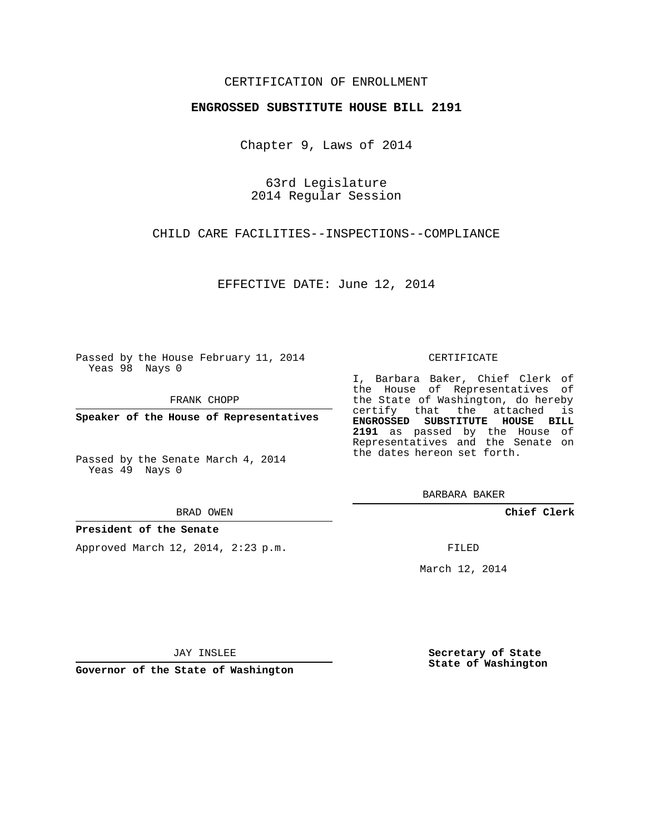## CERTIFICATION OF ENROLLMENT

### **ENGROSSED SUBSTITUTE HOUSE BILL 2191**

Chapter 9, Laws of 2014

63rd Legislature 2014 Regular Session

CHILD CARE FACILITIES--INSPECTIONS--COMPLIANCE

EFFECTIVE DATE: June 12, 2014

Passed by the House February 11, 2014 Yeas 98 Nays 0

FRANK CHOPP

**Speaker of the House of Representatives**

Passed by the Senate March 4, 2014 Yeas 49 Nays 0

#### BRAD OWEN

## **President of the Senate**

Approved March 12, 2014, 2:23 p.m.

#### CERTIFICATE

I, Barbara Baker, Chief Clerk of the House of Representatives of the State of Washington, do hereby certify that the attached is **ENGROSSED SUBSTITUTE HOUSE BILL 2191** as passed by the House of Representatives and the Senate on the dates hereon set forth.

BARBARA BAKER

**Chief Clerk**

FILED

March 12, 2014

JAY INSLEE

**Governor of the State of Washington**

**Secretary of State State of Washington**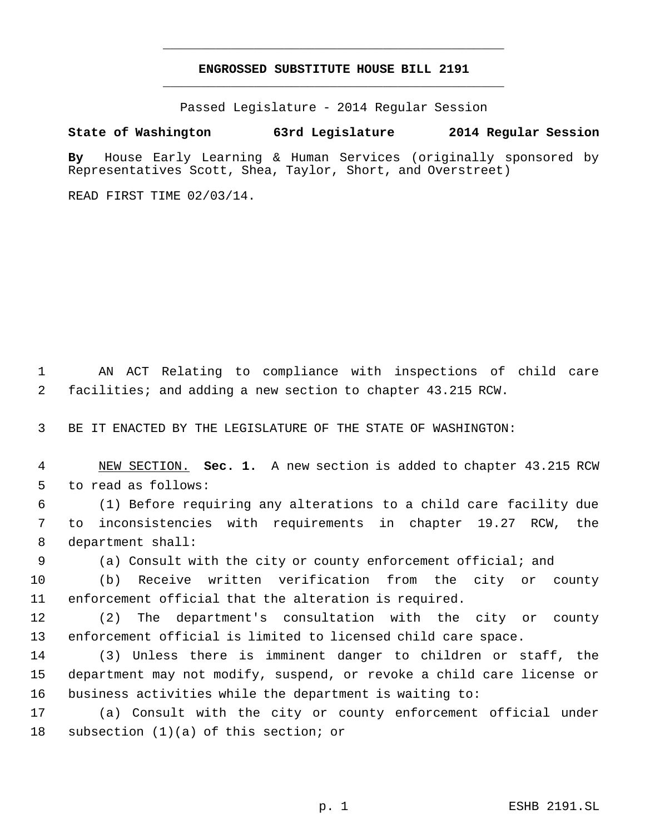# **ENGROSSED SUBSTITUTE HOUSE BILL 2191** \_\_\_\_\_\_\_\_\_\_\_\_\_\_\_\_\_\_\_\_\_\_\_\_\_\_\_\_\_\_\_\_\_\_\_\_\_\_\_\_\_\_\_\_\_

\_\_\_\_\_\_\_\_\_\_\_\_\_\_\_\_\_\_\_\_\_\_\_\_\_\_\_\_\_\_\_\_\_\_\_\_\_\_\_\_\_\_\_\_\_

Passed Legislature - 2014 Regular Session

# **State of Washington 63rd Legislature 2014 Regular Session**

**By** House Early Learning & Human Services (originally sponsored by Representatives Scott, Shea, Taylor, Short, and Overstreet)

READ FIRST TIME 02/03/14.

 AN ACT Relating to compliance with inspections of child care facilities; and adding a new section to chapter 43.215 RCW.

BE IT ENACTED BY THE LEGISLATURE OF THE STATE OF WASHINGTON:

 NEW SECTION. **Sec. 1.** A new section is added to chapter 43.215 RCW to read as follows:

 (1) Before requiring any alterations to a child care facility due to inconsistencies with requirements in chapter 19.27 RCW, the department shall:

(a) Consult with the city or county enforcement official; and

 (b) Receive written verification from the city or county enforcement official that the alteration is required.

 (2) The department's consultation with the city or county enforcement official is limited to licensed child care space.

 (3) Unless there is imminent danger to children or staff, the department may not modify, suspend, or revoke a child care license or business activities while the department is waiting to:

 (a) Consult with the city or county enforcement official under subsection (1)(a) of this section; or